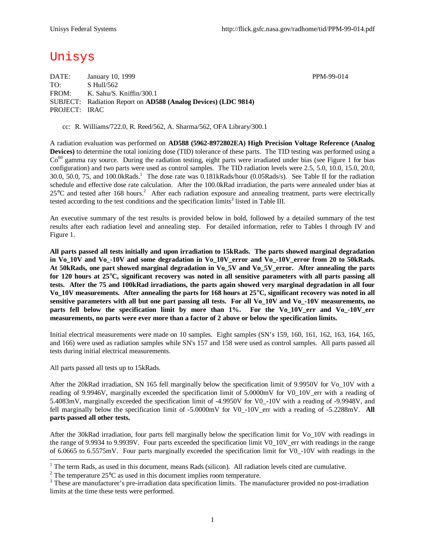# Unisys

DATE: January 10, 1999 PPM-99-014 TO: S Hull/562 FROM: K. Sahu/S. Kniffin/300.1 SUBJECT: Radiation Report on **AD588 (Analog Devices) (LDC 9814)** PROJECT: IRAC

cc: R. Williams/722.0, R. Reed/562, A. Sharma/562, OFA Library/300.1

A radiation evaluation was performed on **AD588 (5962-8972802EA) High Precision Voltage Reference (Analog Devices)** to determine the total ionizing dose (TID) tolerance of these parts. The TID testing was performed using a  $Co<sup>60</sup>$  gamma ray source. During the radiation testing, eight parts were irradiated under bias (see Figure 1 for bias configuration) and two parts were used as control samples. The TID radiation levels were 2.5, 5.0, 10.0, 15.0, 20.0, 30.0, 50.0, 75, and 100.0kRads.<sup>1</sup> The dose rate was 0.181kRads/hour (0.05Rads/s). See Table II for the radiation schedule and effective dose rate calculation. After the 100.0kRad irradiation, the parts were annealed under bias at  $25^{\circ}$ C and tested after 168 hours.<sup>2</sup> After each radiation exposure and annealing treatment, parts were electrically tested according to the test conditions and the specification  $\lim$ its<sup>3</sup> listed in Table III.

An executive summary of the test results is provided below in bold, followed by a detailed summary of the test results after each radiation level and annealing step. For detailed information, refer to Tables I through IV and Figure 1.

**All parts passed all tests initially and upon irradiation to 15kRads. The parts showed marginal degradation in Vo\_10V and Vo\_-10V and some degradation in Vo\_10V\_error and Vo\_-10V\_error from 20 to 50kRads. At 50kRads, one part showed marginal degradation in Vo\_5V and Vo\_5V\_error. After annealing the parts for 120 hours at 25°C, significant recovery was noted in all sensitive parameters with all parts passing all tests. After the 75 and 100kRad irradiations, the parts again showed very marginal degradation in all four Vo\_10V measurements. After annealing the parts for 168 hours at 25°C, significant recovery was noted in all sensitive parameters with all but one part passing all tests. For all Vo\_10V and Vo\_-10V measurements, no** parts fell below the specification limit by more than 1%. For the Vo<sub>10</sub>U err and Vo<sub>10</sub>U err **measurements, no parts were ever more than a factor of 2 above or below the specification limits.**

Initial electrical measurements were made on 10 samples. Eight samples (SN's 159, 160, 161, 162, 163, 164, 165, and 166) were used as radiation samples while SN's 157 and 158 were used as control samples. All parts passed all tests during initial electrical measurements.

All parts passed all tests up to 15kRads.

After the 20kRad irradiation, SN 165 fell marginally below the specification limit of 9.9950V for Vo\_10V with a reading of 9.9946V, marginally exceeded the specification limit of 5.0000mV for V0\_10V\_err with a reading of 5.4083mV, marginally exceeded the specification limit of -4.9950V for V0\_-10V with a reading of -9.9948V, and fell marginally below the specification limit of -5.0000mV for V0 -10V err with a reading of -5.2288mV. **All parts passed all other tests.**

After the 30kRad irradiation, four parts fell marginally below the specification limit for Vo\_10V with readings in the range of 9.9934 to 9.9939V. Four parts exceeded the specification limit V0\_10V\_err with readings in the range of 6.0665 to 6.5575mV. Four parts marginally exceeded the specification limit for V0\_-10V with readings in the

<sup>&</sup>lt;sup>1</sup> The term Rads, as used in this document, means Rads (silicon). All radiation levels cited are cumulative.

<sup>&</sup>lt;sup>2</sup> The temperature  $25^{\circ}$ C as used in this document implies room temperature.

 $3$  These are manufacturer's pre-irradiation data specification limits. The manufacturer provided no post-irradiation limits at the time these tests were performed.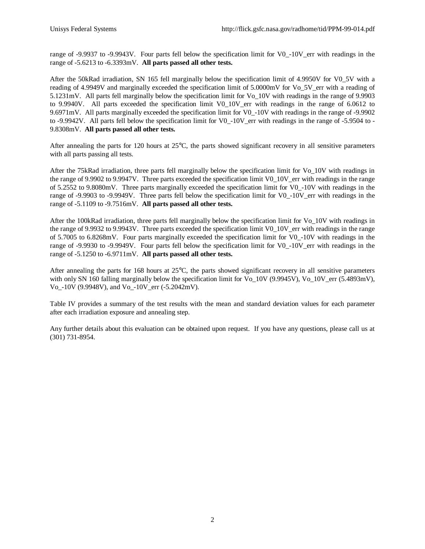range of -9.9937 to -9.9943V. Four parts fell below the specification limit for V0 -10V err with readings in the range of -5.6213 to -6.3393mV. **All parts passed all other tests.**

After the 50kRad irradiation, SN 165 fell marginally below the specification limit of 4.9950V for V0\_5V with a reading of 4.9949V and marginally exceeded the specification limit of 5.0000mV for Vo\_5V\_err with a reading of 5.1231mV. All parts fell marginally below the specification limit for Vo\_10V with readings in the range of 9.9903 to 9.9940V. All parts exceeded the specification limit V0\_10V\_err with readings in the range of 6.0612 to 9.6971mV. All parts marginally exceeded the specification limit for V0\_-10V with readings in the range of -9.9902 to -9.9942V. All parts fell below the specification limit for V0\_-10V\_err with readings in the range of -5.9504 to - 9.8308mV. **All parts passed all other tests.**

After annealing the parts for 120 hours at 25°C, the parts showed significant recovery in all sensitive parameters with all parts passing all tests.

After the 75kRad irradiation, three parts fell marginally below the specification limit for Vo\_10V with readings in the range of 9.9902 to 9.9947V. Three parts exceeded the specification limit V0\_10V\_err with readings in the range of 5.2552 to 9.8080mV. Three parts marginally exceeded the specification limit for V0\_-10V with readings in the range of -9.9903 to -9.9949V. Three parts fell below the specification limit for V0 -10V err with readings in the range of -5.1109 to -9.7516mV. **All parts passed all other tests.**

After the 100kRad irradiation, three parts fell marginally below the specification limit for Vo\_10V with readings in the range of 9.9932 to 9.9943V. Three parts exceeded the specification limit V0\_10V\_err with readings in the range of 5.7005 to 6.8268mV. Four parts marginally exceeded the specification limit for V0\_-10V with readings in the range of -9.9930 to -9.9949V. Four parts fell below the specification limit for V0 -10V err with readings in the range of -5.1250 to -6.9711mV. **All parts passed all other tests.**

After annealing the parts for 168 hours at 25°C, the parts showed significant recovery in all sensitive parameters with only SN 160 falling marginally below the specification limit for Vo\_10V (9.9945V), Vo\_10V\_err (5.4893mV), Vo\_-10V (9.9948V), and Vo\_-10V\_err (-5.2042mV).

Table IV provides a summary of the test results with the mean and standard deviation values for each parameter after each irradiation exposure and annealing step.

Any further details about this evaluation can be obtained upon request. If you have any questions, please call us at (301) 731-8954.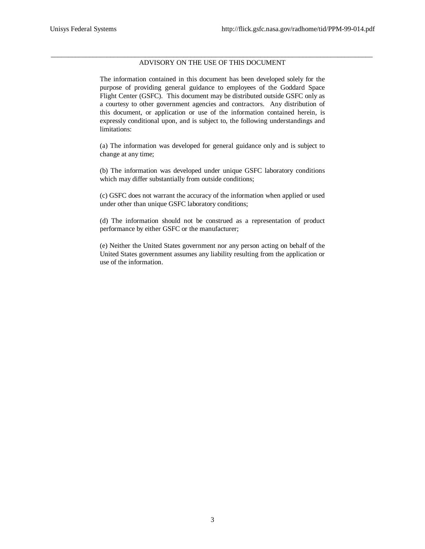#### \_\_\_\_\_\_\_\_\_\_\_\_\_\_\_\_\_\_\_\_\_\_\_\_\_\_\_\_\_\_\_\_\_\_\_\_\_\_\_\_\_\_\_\_\_\_\_\_\_\_\_\_\_\_\_\_\_\_\_\_\_\_\_\_\_\_\_\_\_\_\_\_\_\_\_\_\_\_\_\_\_\_\_\_\_\_\_\_\_\_\_\_ ADVISORY ON THE USE OF THIS DOCUMENT

The information contained in this document has been developed solely for the purpose of providing general guidance to employees of the Goddard Space Flight Center (GSFC). This document may be distributed outside GSFC only as a courtesy to other government agencies and contractors. Any distribution of this document, or application or use of the information contained herein, is expressly conditional upon, and is subject to, the following understandings and limitations:

(a) The information was developed for general guidance only and is subject to change at any time;

(b) The information was developed under unique GSFC laboratory conditions which may differ substantially from outside conditions;

(c) GSFC does not warrant the accuracy of the information when applied or used under other than unique GSFC laboratory conditions;

(d) The information should not be construed as a representation of product performance by either GSFC or the manufacturer;

(e) Neither the United States government nor any person acting on behalf of the United States government assumes any liability resulting from the application or use of the information.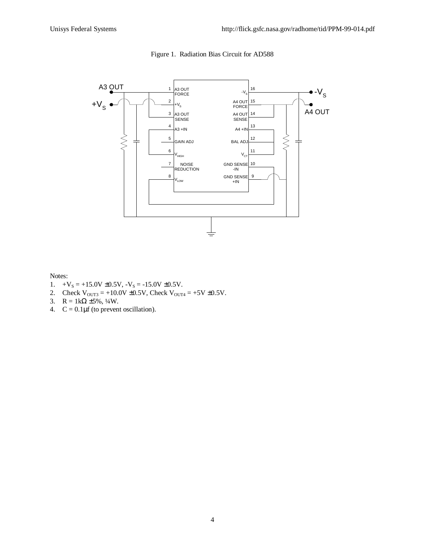

### Figure 1. Radiation Bias Circuit for AD588

#### Notes:

- 1.  $+V_s = +15.0V \pm 0.5V$ ,  $-V_s = -15.0V \pm 0.5V$ .
- 2. Check  $V_{\text{OUT3}} = +10.0V \pm 0.5V$ , Check  $V_{\text{OUT4}} = +5V \pm 0.5V$ .
- 3.  $R = 1k\Omega \pm 5\%, \frac{1}{4}W$ .
- 4.  $C = 0.1 \mu f$  (to prevent oscillation).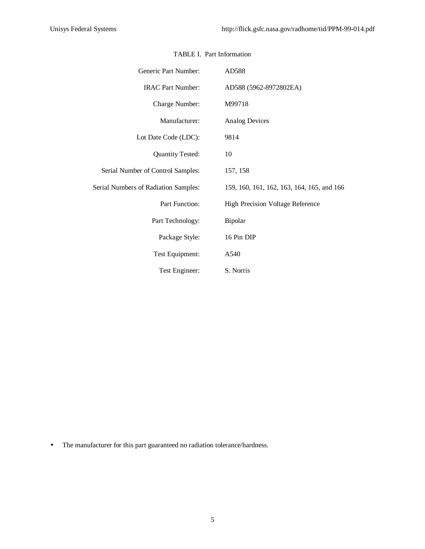| Generic Part Number:                 | AD588                                      |  |  |  |  |  |  |
|--------------------------------------|--------------------------------------------|--|--|--|--|--|--|
| <b>IRAC Part Number:</b>             | AD588 (5962-8972802EA)                     |  |  |  |  |  |  |
| Charge Number:                       | M99718                                     |  |  |  |  |  |  |
| Manufacturer:                        | <b>Analog Devices</b>                      |  |  |  |  |  |  |
| Lot Date Code (LDC):                 | 9814                                       |  |  |  |  |  |  |
| <b>Quantity Tested:</b>              | 10                                         |  |  |  |  |  |  |
| Serial Number of Control Samples:    | 157, 158                                   |  |  |  |  |  |  |
| Serial Numbers of Radiation Samples: | 159, 160, 161, 162, 163, 164, 165, and 166 |  |  |  |  |  |  |
| Part Function:                       | <b>High Precision Voltage Reference</b>    |  |  |  |  |  |  |
| Part Technology:                     | Bipolar                                    |  |  |  |  |  |  |
| Package Style:                       | 16 Pin DIP                                 |  |  |  |  |  |  |
| Test Equipment:                      | A540                                       |  |  |  |  |  |  |
| Test Engineer:                       | S. Norris                                  |  |  |  |  |  |  |

## TABLE I. Part Information

• The manufacturer for this part guaranteed no radiation tolerance/hardness.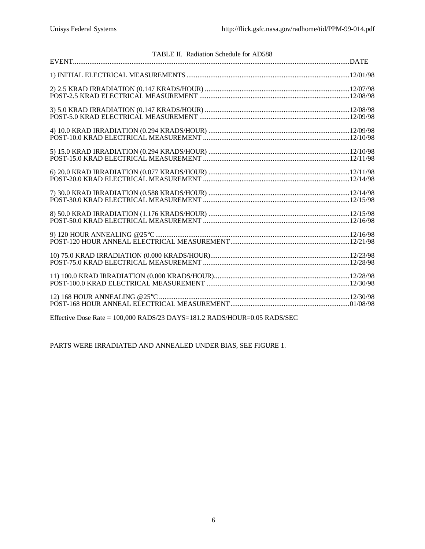| TABLE II. Radiation Schedule for AD588                                                                                                                                                                                                                                                                                                         |  |
|------------------------------------------------------------------------------------------------------------------------------------------------------------------------------------------------------------------------------------------------------------------------------------------------------------------------------------------------|--|
|                                                                                                                                                                                                                                                                                                                                                |  |
|                                                                                                                                                                                                                                                                                                                                                |  |
|                                                                                                                                                                                                                                                                                                                                                |  |
|                                                                                                                                                                                                                                                                                                                                                |  |
|                                                                                                                                                                                                                                                                                                                                                |  |
|                                                                                                                                                                                                                                                                                                                                                |  |
|                                                                                                                                                                                                                                                                                                                                                |  |
|                                                                                                                                                                                                                                                                                                                                                |  |
|                                                                                                                                                                                                                                                                                                                                                |  |
|                                                                                                                                                                                                                                                                                                                                                |  |
|                                                                                                                                                                                                                                                                                                                                                |  |
|                                                                                                                                                                                                                                                                                                                                                |  |
| $E_{\alpha}^{cc}$ , $\mathbf{p}$ , $\mathbf{p}$ , $\mathbf{p}$ , $\mathbf{p}$ , $\mathbf{p}$ , $\mathbf{p}$ , $\mathbf{p}$ , $\mathbf{p}$ , $\mathbf{p}$ , $\mathbf{p}$ , $\mathbf{p}$ , $\mathbf{p}$ , $\mathbf{p}$ , $\mathbf{p}$ , $\mathbf{p}$ , $\mathbf{p}$ , $\mathbf{p}$ , $\mathbf{p}$ , $\mathbf{p}$ , $\mathbf{p}$ , $\mathbf{p}$ , |  |

Effective Dose Rate = 100,000 RADS/23 DAYS=181.2 RADS/HOUR=0.05 RADS/SEC

PARTS WERE IRRADIATED AND ANNEALED UNDER BIAS, SEE FIGURE 1.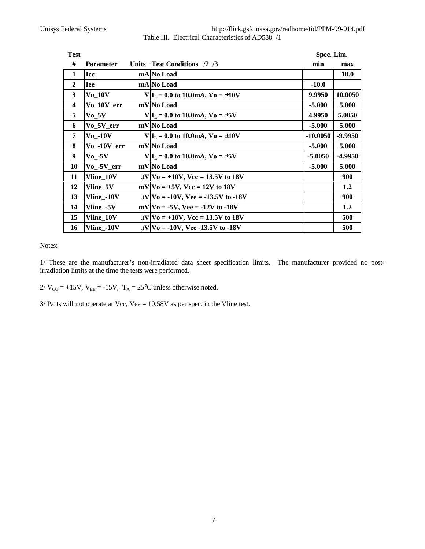Unisys Federal Systems http://flick.gsfc.nasa.gov/radhome/tid/PPM-99-014.pdf Table III. Electrical Characteristics of AD588 /1

|                                |  | Spec. Lim.                                                                                                                                                                                                                                                                                                                                                                                                                                                                                                                                             |             |
|--------------------------------|--|--------------------------------------------------------------------------------------------------------------------------------------------------------------------------------------------------------------------------------------------------------------------------------------------------------------------------------------------------------------------------------------------------------------------------------------------------------------------------------------------------------------------------------------------------------|-------------|
| <b>Parameter</b>               |  | min                                                                                                                                                                                                                                                                                                                                                                                                                                                                                                                                                    | max         |
| Icc                            |  |                                                                                                                                                                                                                                                                                                                                                                                                                                                                                                                                                        | <b>10.0</b> |
| <b>Iee</b>                     |  | $-10.0$                                                                                                                                                                                                                                                                                                                                                                                                                                                                                                                                                |             |
| $V_0$ _10V                     |  | 9.9950                                                                                                                                                                                                                                                                                                                                                                                                                                                                                                                                                 | 10.0050     |
| Vo 10V err                     |  | $-5.000$                                                                                                                                                                                                                                                                                                                                                                                                                                                                                                                                               | 5.000       |
| $V_0$ _5V                      |  | 4.9950                                                                                                                                                                                                                                                                                                                                                                                                                                                                                                                                                 | 5.0050      |
| $Vo_5V_error$                  |  | $-5.000$                                                                                                                                                                                                                                                                                                                                                                                                                                                                                                                                               | 5.000       |
| $Vo_$ -10V                     |  | $-10.0050$                                                                                                                                                                                                                                                                                                                                                                                                                                                                                                                                             | -9.9950     |
| $Vo_$ -10 $V_$ err             |  | $-5.000$                                                                                                                                                                                                                                                                                                                                                                                                                                                                                                                                               | 5.000       |
| $\mathbf{V}$ o -5 $\mathbf{V}$ |  | $-5.0050$                                                                                                                                                                                                                                                                                                                                                                                                                                                                                                                                              | -4.9950     |
| $Vo_$ -5 $V_$ err              |  | $-5.000$                                                                                                                                                                                                                                                                                                                                                                                                                                                                                                                                               | 5.000       |
| Vline 10V                      |  |                                                                                                                                                                                                                                                                                                                                                                                                                                                                                                                                                        | 900         |
| Vline_5V                       |  |                                                                                                                                                                                                                                                                                                                                                                                                                                                                                                                                                        | 1.2         |
| Vline_-10V                     |  |                                                                                                                                                                                                                                                                                                                                                                                                                                                                                                                                                        | 900         |
| Vline_-5V                      |  |                                                                                                                                                                                                                                                                                                                                                                                                                                                                                                                                                        | 1.2         |
| <b>Vline 10V</b>               |  |                                                                                                                                                                                                                                                                                                                                                                                                                                                                                                                                                        | 500         |
| Vline_-10V                     |  |                                                                                                                                                                                                                                                                                                                                                                                                                                                                                                                                                        | 500         |
|                                |  | Units Test Conditions /2 /3<br>mA No Load<br>mA No Load<br>$V I_L = 0.0$ to 10.0mA, $V_0 = \pm 10V$<br>mV No Load<br>$V I_L = 0.0$ to 10.0mA, $V_0 = \pm 5V$<br>mV No Load<br>$V I_L = 0.0$ to 10.0mA, $V_0 = \pm 10V$<br>mV No Load<br>$V _{L} = 0.0$ to 10.0mA, $V_0 = \pm 5V$<br>mV No Load<br>$mV V_0 = +10V$ , Vcc = 13.5V to 18V<br>$mV V_0 = +5V$ , $Vcc = 12V$ to 18V<br>$mV$ $V_0 = -10V$ , $Vee = -13.5V$ to $-18V$<br>$mV V_0 = -5V$ , Vee = -12V to -18V<br>$mV V_0 = +10V$ , Vcc = 13.5V to 18V<br>$mV$ $V_0 = -10V$ , Vee -13.5V to -18V |             |

Notes:

1/ These are the manufacturer's non-irradiated data sheet specification limits. The manufacturer provided no postirradiation limits at the time the tests were performed.

 $2/V_{CC} = +15V$ ,  $V_{EE} = -15V$ ,  $T_A = 25^{\circ}C$  unless otherwise noted.

3/ Parts will not operate at Vcc, Vee = 10.58V as per spec. in the Vline test.